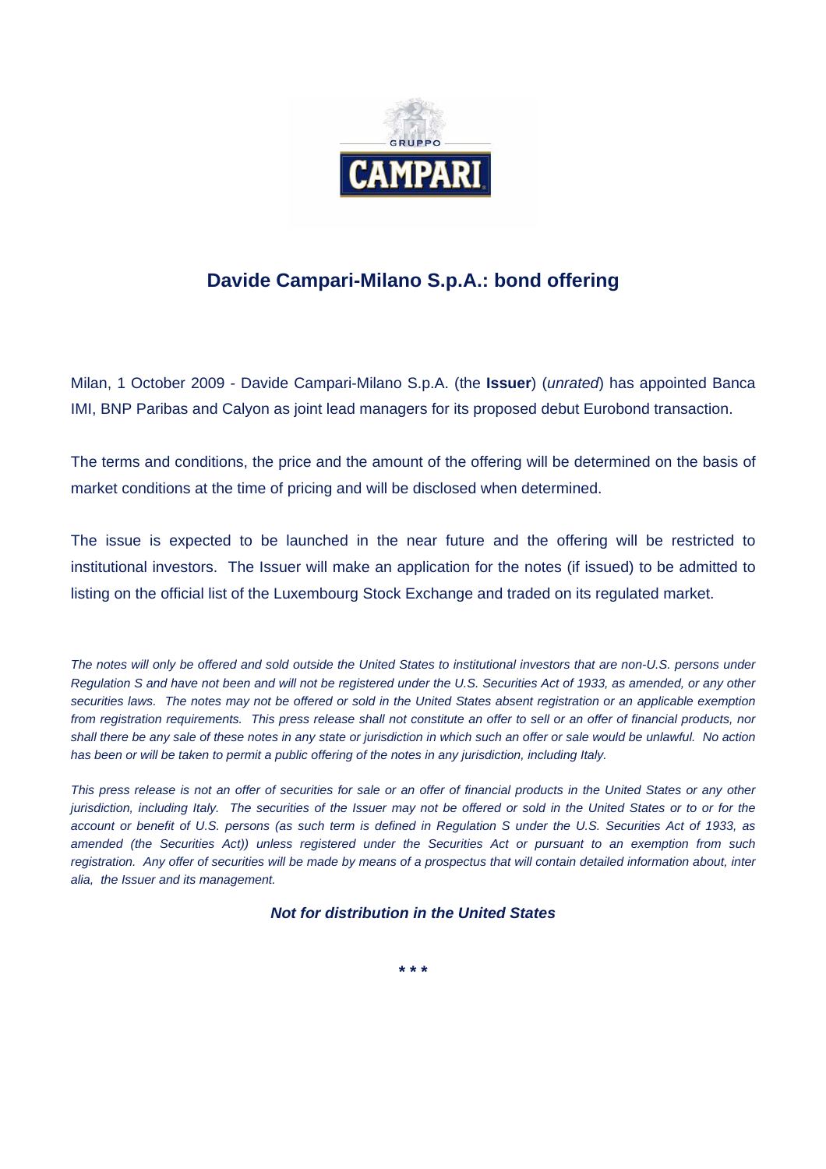

## **Davide Campari-Milano S.p.A.: bond offering**

Milan, 1 October 2009 - Davide Campari-Milano S.p.A. (the **Issuer**) (*unrated*) has appointed Banca IMI, BNP Paribas and Calyon as joint lead managers for its proposed debut Eurobond transaction.

The terms and conditions, the price and the amount of the offering will be determined on the basis of market conditions at the time of pricing and will be disclosed when determined.

The issue is expected to be launched in the near future and the offering will be restricted to institutional investors. The Issuer will make an application for the notes (if issued) to be admitted to listing on the official list of the Luxembourg Stock Exchange and traded on its regulated market.

*The notes will only be offered and sold outside the United States to institutional investors that are non-U.S. persons under Regulation S and have not been and will not be registered under the U.S. Securities Act of 1933, as amended, or any other securities laws. The notes may not be offered or sold in the United States absent registration or an applicable exemption*  from registration requirements. This press release shall not constitute an offer to sell or an offer of financial products, nor *shall there be any sale of these notes in any state or jurisdiction in which such an offer or sale would be unlawful. No action*  has been or will be taken to permit a public offering of the notes in any jurisdiction, including Italy.

*This press release is not an offer of securities for sale or an offer of financial products in the United States or any other jurisdiction, including Italy. The securities of the Issuer may not be offered or sold in the United States or to or for the account or benefit of U.S. persons (as such term is defined in Regulation S under the U.S. Securities Act of 1933, as amended (the Securities Act)) unless registered under the Securities Act or pursuant to an exemption from such*  registration. Any offer of securities will be made by means of a prospectus that will contain detailed information about, inter *alia, the Issuer and its management.* 

*Not for distribution in the United States* 

**\* \* \***